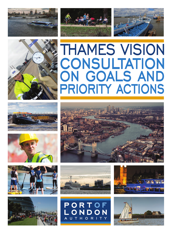















## **THAMES VISION** CONSULTATION ON GOALS AND PRIORITY ACTIONS









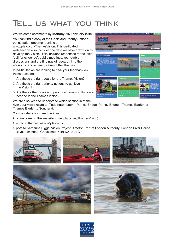## Tell us what you think

## We welcome comments by **Monday, 15 February 2016**.

You can find a copy of the Goals and Priority Actions consultation document online at:

www.pla.co.uk/ThamesVision. This dedicated web section also includes the data we have drawn on to develop the Vision. This includes responses to the initial 'call for evidence', public meetings, roundtable discussions and the findings of research into the economic and amenity value of the Thames.

In particular we are looking to hear your feedback on these questions:

- 1. Are these the right goals for the Thames Vision?
- 2. Are these the right priority actions to achieve the Vision?
- 3. Are there other goals and priority actions you think are needed in the Thames Vision?

We are also keen to understand which section(s) of the river your views relate to: Teddington Lock – Putney Bridge; Putney Bridge – Thames Barrier; or Thames Barrier to Southend.

You can share your feedback via:

- P online form on the website (www.pla.co.uk/ThamesVision)
- P email to thames.vision@pla.co.uk
- P post to Katherine Riggs, Vision Project Director, Port of London Authority, London River House, Royal Pier Road, Gravesend, Kent DA12 2BG